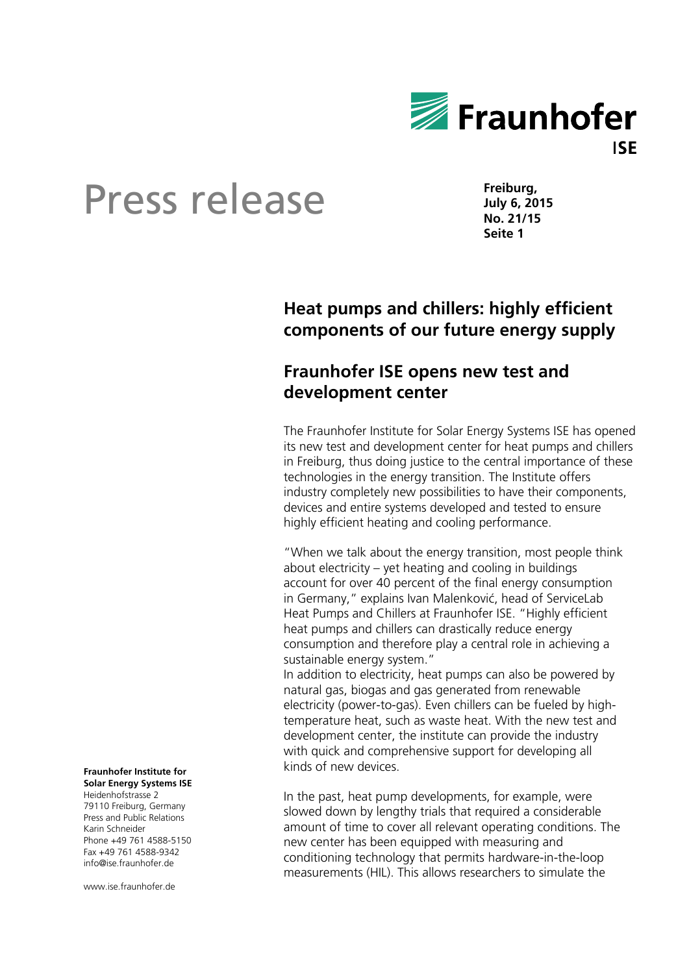

**Freiburg, July 6, 2015 No. 21/15 Seite 1** 

### **Heat pumps and chillers: highly efficient components of our future energy supply**

#### **Fraunhofer ISE opens new test and development center**

The Fraunhofer Institute for Solar Energy Systems ISE has opened its new test and development center for heat pumps and chillers in Freiburg, thus doing justice to the central importance of these technologies in the energy transition. The Institute offers industry completely new possibilities to have their components, devices and entire systems developed and tested to ensure highly efficient heating and cooling performance.

"When we talk about the energy transition, most people think about electricity – yet heating and cooling in buildings account for over 40 percent of the final energy consumption in Germany," explains Ivan Malenković, head of ServiceLab Heat Pumps and Chillers at Fraunhofer ISE. "Highly efficient heat pumps and chillers can drastically reduce energy consumption and therefore play a central role in achieving a sustainable energy system."

In addition to electricity, heat pumps can also be powered by natural gas, biogas and gas generated from renewable electricity (power-to-gas). Even chillers can be fueled by hightemperature heat, such as waste heat. With the new test and development center, the institute can provide the industry with quick and comprehensive support for developing all kinds of new devices.

In the past, heat pump developments, for example, were slowed down by lengthy trials that required a considerable amount of time to cover all relevant operating conditions. The new center has been equipped with measuring and conditioning technology that permits hardware-in-the-loop measurements (HIL). This allows researchers to simulate the

#### **Fraunhofer Institute for Solar Energy Systems ISE**

Heidenhofstrasse 2 79110 Freiburg, Germany Press and Public Relations Karin Schneider Phone +49 761 4588-5150 Fax +49 761 4588-9342 info@ise.fraunhofer.de

www.ise.fraunhofer.de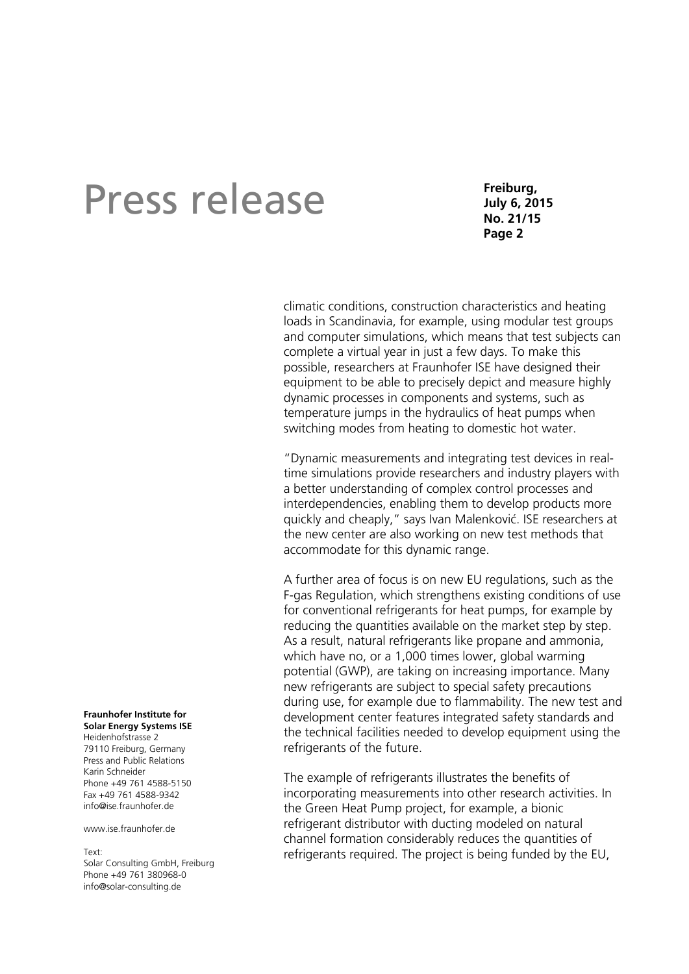**Freiburg, July 6, 2015 No. 21/15 Page 2** 

climatic conditions, construction characteristics and heating loads in Scandinavia, for example, using modular test groups and computer simulations, which means that test subjects can complete a virtual year in just a few days. To make this possible, researchers at Fraunhofer ISE have designed their equipment to be able to precisely depict and measure highly dynamic processes in components and systems, such as temperature jumps in the hydraulics of heat pumps when switching modes from heating to domestic hot water.

"Dynamic measurements and integrating test devices in realtime simulations provide researchers and industry players with a better understanding of complex control processes and interdependencies, enabling them to develop products more quickly and cheaply," says Ivan Malenković. ISE researchers at the new center are also working on new test methods that accommodate for this dynamic range.

A further area of focus is on new EU regulations, such as the F-gas Regulation, which strengthens existing conditions of use for conventional refrigerants for heat pumps, for example by reducing the quantities available on the market step by step. As a result, natural refrigerants like propane and ammonia, which have no, or a 1,000 times lower, global warming potential (GWP), are taking on increasing importance. Many new refrigerants are subject to special safety precautions during use, for example due to flammability. The new test and development center features integrated safety standards and the technical facilities needed to develop equipment using the refrigerants of the future.

The example of refrigerants illustrates the benefits of incorporating measurements into other research activities. In the Green Heat Pump project, for example, a bionic refrigerant distributor with ducting modeled on natural channel formation considerably reduces the quantities of refrigerants required. The project is being funded by the EU,

#### **Fraunhofer Institute for Solar Energy Systems ISE**

Heidenhofstrasse 2 79110 Freiburg, Germany Press and Public Relations Karin Schneider Phone +49 761 4588-5150 Fax +49 761 4588-9342 info@ise.fraunhofer.de

www.jse.fraunhofer.de

Text: Solar Consulting GmbH, Freiburg Phone +49 761 380968-0 info@solar-consulting.de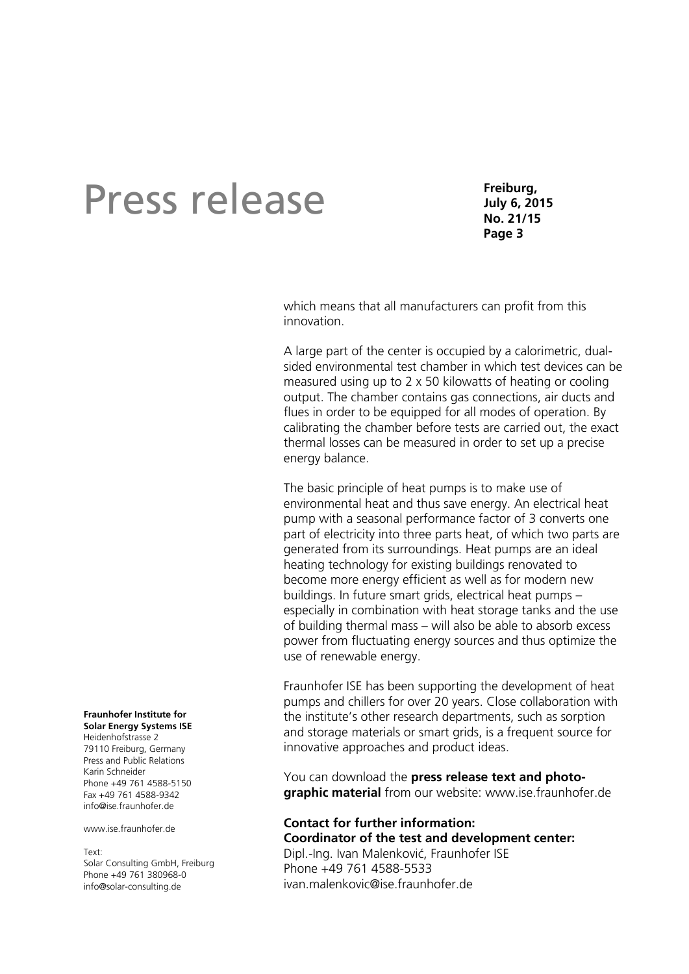**Freiburg, July 6, 2015 No. 21/15 Page 3** 

which means that all manufacturers can profit from this innovation.

A large part of the center is occupied by a calorimetric, dualsided environmental test chamber in which test devices can be measured using up to 2 x 50 kilowatts of heating or cooling output. The chamber contains gas connections, air ducts and flues in order to be equipped for all modes of operation. By calibrating the chamber before tests are carried out, the exact thermal losses can be measured in order to set up a precise energy balance.

The basic principle of heat pumps is to make use of environmental heat and thus save energy. An electrical heat pump with a seasonal performance factor of 3 converts one part of electricity into three parts heat, of which two parts are generated from its surroundings. Heat pumps are an ideal heating technology for existing buildings renovated to become more energy efficient as well as for modern new buildings. In future smart grids, electrical heat pumps – especially in combination with heat storage tanks and the use of building thermal mass – will also be able to absorb excess power from fluctuating energy sources and thus optimize the use of renewable energy.

Fraunhofer ISE has been supporting the development of heat pumps and chillers for over 20 years. Close collaboration with the institute's other research departments, such as sorption and storage materials or smart grids, is a frequent source for innovative approaches and product ideas.

You can download the **press release text and photographic material** from our website: www.ise.fraunhofer.de

**Contact for further information: Coordinator of the test and development center:**  Dipl.-Ing. Ivan Malenković, Fraunhofer ISE Phone +49 761 4588-5533 ivan.malenkovic@ise.fraunhofer.de

#### **Fraunhofer Institute for Solar Energy Systems ISE**

Heidenhofstrasse 2 79110 Freiburg, Germany Press and Public Relations Karin Schneider Phone +49 761 4588-5150 Fax +49 761 4588-9342 info@ise.fraunhofer.de

www.jse.fraunhofer.de

Text: Solar Consulting GmbH, Freiburg

Phone +49 761 380968-0 info@solar-consulting.de